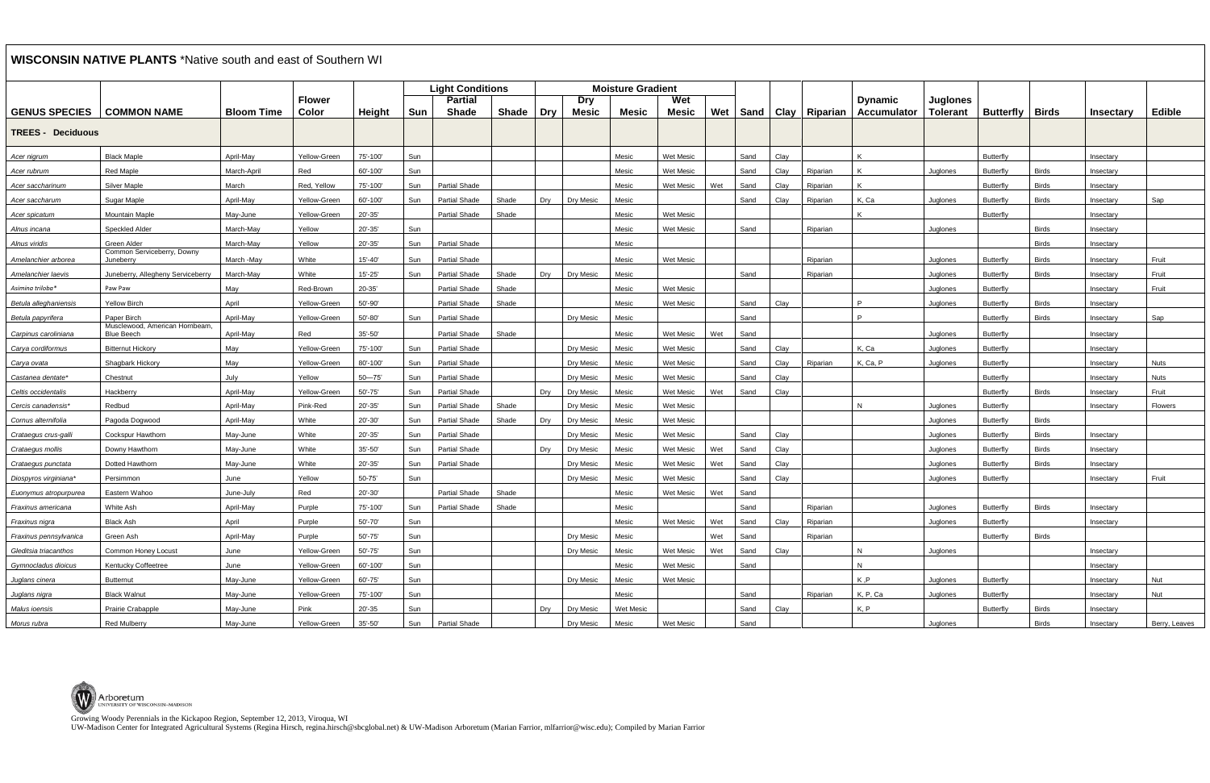UW-Madison Center for Integrated Agricultural Systems (Regina Hirsch, regina.hirsch@sbcglobal.net) & UW-Madison Arboretum (Marian Farrior, mlfarrior@wisc.edu); Compiled by Marian Farrior

## **WISCONSIN NATIVE PLANTS** \*Native south and east of Southern WI

| <b>WISCONSIN NATIVE PLANTS</b> TRative south and east of Southern WI |                                                     |                   |                        |             |     |                                |              |            |                     |                          |                     |     |      |      |                        |                                       |                                    |                  |              |                  |               |
|----------------------------------------------------------------------|-----------------------------------------------------|-------------------|------------------------|-------------|-----|--------------------------------|--------------|------------|---------------------|--------------------------|---------------------|-----|------|------|------------------------|---------------------------------------|------------------------------------|------------------|--------------|------------------|---------------|
|                                                                      |                                                     |                   |                        |             |     | <b>Light Conditions</b>        |              |            |                     | <b>Moisture Gradient</b> |                     |     |      |      |                        |                                       |                                    |                  |              |                  |               |
| <b>GENUS SPECIES</b>                                                 | <b>COMMON NAME</b>                                  | <b>Bloom Time</b> | <b>Flower</b><br>Color | Height      | Sun | <b>Partial</b><br><b>Shade</b> | <b>Shade</b> | <b>Dry</b> | Dry<br><b>Mesic</b> | <b>Mesic</b>             | Wet<br><b>Mesic</b> | Wet |      |      | Sand   Clay   Riparian | <b>D</b> vnamic<br><b>Accumulator</b> | <b>Juglones</b><br><b>Tolerant</b> | <b>Butterfly</b> | <b>Birds</b> | <b>Insectary</b> | <b>Edible</b> |
| <b>TREES - Deciduous</b>                                             |                                                     |                   |                        |             |     |                                |              |            |                     |                          |                     |     |      |      |                        |                                       |                                    |                  |              |                  |               |
| Acer nigrum                                                          | <b>Black Maple</b>                                  | April-May         | Yellow-Green           | 75'-100'    | Sun |                                |              |            |                     | Mesic                    | <b>Wet Mesic</b>    |     | Sand | Clay |                        | K                                     |                                    | Butterfly        |              | Insectary        |               |
| Acer rubrum                                                          | <b>Red Maple</b>                                    | March-April       | Red                    | 60'-100'    | Sun |                                |              |            |                     | Mesic                    | <b>Wet Mesic</b>    |     | Sand | Clay | Riparian               | $\mathsf{K}$                          | Juglones                           | Butterfly        | <b>Birds</b> | Insectary        |               |
| Acer saccharinum                                                     | <b>Silver Maple</b>                                 | March             | Red, Yellow            | 75'-100'    | Sun | <b>Partial Shade</b>           |              |            |                     | Mesic                    | Wet Mesic           | Wet | Sand | Clay | Riparian               | K                                     |                                    | Butterfly        | <b>Birds</b> | Insectary        |               |
| Acer saccharum                                                       | Sugar Maple                                         | April-May         | Yellow-Green           | 60'-100'    | Sun | <b>Partial Shade</b>           | Shade        | Dry        | Dry Mesic           | Mesic                    |                     |     | Sand | Clay | Riparian               | K, Ca                                 | Juglones                           | <b>Butterfly</b> | <b>Birds</b> | Insectary        | Sap           |
| Acer spicatum                                                        | Mountain Maple                                      | May-June          | Yellow-Green           | 20'-35'     |     | <b>Partial Shade</b>           | Shade        |            |                     | Mesic                    | <b>Wet Mesic</b>    |     |      |      |                        | K                                     |                                    | Butterfly        |              | Insectary        |               |
| Alnus incana                                                         | <b>Speckled Alder</b>                               | March-May         | Yellow                 | 20'-35'     | Sun |                                |              |            |                     | Mesic                    | <b>Wet Mesic</b>    |     | Sand |      | Riparian               |                                       | Juglones                           |                  | <b>Birds</b> | Insectary        |               |
| Alnus viridis                                                        | Green Alder                                         | March-May         | Yellow                 | $20' - 35'$ | Sun | <b>Partial Shade</b>           |              |            |                     | Mesic                    |                     |     |      |      |                        |                                       |                                    |                  | <b>Birds</b> | Insectary        |               |
| Amelanchier arborea                                                  | Common Serviceberry, Downy<br>Juneberry             | March -May        | White                  | $15' - 40'$ | Sun | <b>Partial Shade</b>           |              |            |                     | Mesic                    | <b>Wet Mesic</b>    |     |      |      | Riparian               |                                       | Juglones                           | <b>Butterfly</b> | <b>Birds</b> | Insectary        | Fruit         |
| Amelanchier laevis                                                   | Juneberry, Allegheny Serviceberry                   | March-May         | White                  | $15' - 25'$ | Sun | <b>Partial Shade</b>           | Shade        | Dry        | Dry Mesic           | Mesic                    |                     |     | Sand |      | Riparian               |                                       | Juglones                           | <b>Butterfly</b> | <b>Birds</b> | Insectary        | Fruit         |
| Asimina triloba*                                                     | Paw Paw                                             | May               | Red-Brown              | 20-35'      |     | Partial Shade                  | Shade        |            |                     | Mesic                    | <b>Wet Mesic</b>    |     |      |      |                        |                                       | Juglones                           | Butterfly        |              | Insectary        | Fruit         |
| Betula alleghaniensis                                                | <b>Yellow Birch</b>                                 | April             | Yellow-Green           | 50'-90'     |     | <b>Partial Shade</b>           | Shade        |            |                     | Mesic                    | <b>Wet Mesic</b>    |     | Sand | Clay |                        | P                                     | Juglones                           | <b>Butterfly</b> | <b>Birds</b> | Insectary        |               |
| Betula papyrifera                                                    | Paper Birch                                         | April-May         | Yellow-Green           | 50'-80'     | Sun | <b>Partial Shade</b>           |              |            | Dry Mesic           | Mesic                    |                     |     | Sand |      |                        | P                                     |                                    | <b>Butterfly</b> | <b>Birds</b> | Insectary        | Sap           |
| Carpinus caroliniana                                                 | Musclewood, American Hornbeam.<br><b>Blue Beech</b> | April-May         | Red                    | 35'-50'     |     | Partial Shade                  | Shade        |            |                     | Mesic                    | Wet Mesic           | Wet | Sand |      |                        |                                       | Juglones                           | Butterfly        |              | Insectary        |               |
| Carya cordiformus                                                    | Bitternut Hickory                                   | May               | Yellow-Green           | 75'-100'    | Sun | <b>Partial Shade</b>           |              |            | Dry Mesic           | Mesic                    | <b>Wet Mesic</b>    |     | Sand | Clay |                        | K, Ca                                 | Juglones                           | Butterfly        |              | Insectary        |               |
| Carya ovata                                                          | Shagbark Hickory                                    | May               | Yellow-Green           | 80'-100'    | Sun | <b>Partial Shade</b>           |              |            | Dry Mesic           | Mesic                    | <b>Wet Mesic</b>    |     | Sand | Clay | Riparian               | K, Ca, P                              | Juglones                           | Butterfly        |              | Insectary        | <b>Nuts</b>   |
| Castanea dentate*                                                    | Chestnut                                            | July              | Yellow                 | $50 - 75$   | Sun | <b>Partial Shade</b>           |              |            | Dry Mesic           | Mesic                    | <b>Wet Mesic</b>    |     | Sand | Clay |                        |                                       |                                    | <b>Butterfly</b> |              | Insectary        | <b>Nuts</b>   |
| Celtis occidentalis                                                  | Hackberry                                           | April-May         | Yellow-Green           | 50'-75'     | Sun | <b>Partial Shade</b>           |              | Dry        | Dry Mesic           | Mesic                    | <b>Wet Mesic</b>    | Wet | Sand | Clay |                        |                                       |                                    | <b>Butterfly</b> | <b>Birds</b> | Insectary        | Fruit         |
| Cercis canadensis*                                                   | Redbud                                              | April-May         | Pink-Red               | 20'-35'     | Sun | <b>Partial Shade</b>           | Shade        |            | Dry Mesic           | Mesic                    | <b>Wet Mesic</b>    |     |      |      |                        | N                                     | Juglones                           | Butterfly        |              | Insectary        | Flowers       |
| Cornus alternifolia                                                  | Pagoda Dogwood                                      | April-May         | White                  | 20'-30'     | Sun | <b>Partial Shade</b>           | Shade        | Dry        | Dry Mesic           | Mesic                    | <b>Wet Mesic</b>    |     |      |      |                        |                                       | Juglones                           | <b>Butterfly</b> | <b>Birds</b> |                  |               |
| Crataegus crus-galli                                                 | Cockspur Hawthorn                                   | May-June          | White                  | 20'-35'     | Sun | <b>Partial Shade</b>           |              |            | Dry Mesic           | Mesic                    | <b>Wet Mesic</b>    |     | Sand | Clay |                        |                                       | Juglones                           | <b>Butterfly</b> | <b>Birds</b> | Insectary        |               |
| Crataegus mollis                                                     | Downy Hawthorn                                      | May-June          | White                  | 35'-50'     | Sun | <b>Partial Shade</b>           |              | Dry        | Dry Mesic           | Mesic                    | Wet Mesic           | Wet | Sand | Clay |                        |                                       | Juglones                           | <b>Butterfly</b> | <b>Birds</b> | Insectary        |               |
| Crataegus punctata                                                   | Dotted Hawthorn                                     | May-June          | White                  | 20'-35'     | Sun | <b>Partial Shade</b>           |              |            | Dry Mesic           | Mesic                    | Wet Mesic           | Wet | Sand | Clay |                        |                                       | Juglones                           | <b>Butterfly</b> | <b>Birds</b> | Insectary        |               |
| Diospyros virginiana                                                 | Persimmon                                           | June              | Yellow                 | 50-75'      | Sun |                                |              |            | Dry Mesic           | Mesic                    | <b>Wet Mesic</b>    |     | Sand | Clay |                        |                                       | Juglones                           | Butterfly        |              | Insectary        | Fruit         |
| Euonymus atropurpurea                                                | Eastern Wahoo                                       | June-July         | Red                    | 20'-30'     |     | <b>Partial Shade</b>           | Shade        |            |                     | Mesic                    | Wet Mesic           | Wet | Sand |      |                        |                                       |                                    |                  |              |                  |               |
| Fraxinus americana                                                   | White Ash                                           | April-May         | Purple                 | 75'-100'    | Sun | <b>Partial Shade</b>           | Shade        |            |                     | Mesic                    |                     |     | Sand |      | Riparian               |                                       | Juglones                           | <b>Butterfly</b> | <b>Birds</b> | Insectary        |               |
| Fraxinus nigra                                                       | Black Ash                                           | April             | Purple                 | 50'-70'     | Sun |                                |              |            |                     | Mesic                    | Wet Mesic           | Wet | Sand | Clay | Riparian               |                                       | Juglones                           | Butterfly        |              | Insectary        |               |
| Fraxinus pennsylvanica                                               | Green Ash                                           | April-May         | Purple                 | 50'-75'     | Sun |                                |              |            | Dry Mesic           | Mesic                    |                     | Wet | Sand |      | Riparian               |                                       |                                    | Butterfly        | <b>Birds</b> |                  |               |
| Gleditsia triacanthos                                                | Common Honey Locust                                 | June              | Yellow-Green           | $50' - 75'$ | Sun |                                |              |            | Dry Mesic           | Mesic                    | Wet Mesic           | Wet | Sand | Clay |                        | N                                     | Juglones                           |                  |              | Insectary        |               |
| Gymnocladus dioicus                                                  | <b>Kentucky Coffeetree</b>                          | June              | Yellow-Green           | 60'-100'    | Sun |                                |              |            |                     | Mesic                    | Wet Mesic           |     | Sand |      |                        | N                                     |                                    |                  |              | Insectary        |               |
| Juglans cinera                                                       | Butternut                                           | May-June          | Yellow-Green           | 60'-75'     | Sun |                                |              |            | Dry Mesic           | Mesic                    | Wet Mesic           |     |      |      |                        | K,P                                   | Juglones                           | Butterfly        |              | Insectary        | Nut           |
| Juglans nigra                                                        | <b>Black Walnut</b>                                 | May-June          | Yellow-Green           | 75'-100'    | Sun |                                |              |            |                     | Mesic                    |                     |     | Sand |      | Riparian               | K, P, Ca                              | Juglones                           | <b>Butterfly</b> |              | Insectary        | Nut           |
| Malus ioensis                                                        | Prairie Crabapple                                   | May-June          | Pink                   | $20' - 35$  | Sun |                                |              | Dry        | Dry Mesic           | Wet Mesic                |                     |     | Sand | Clay |                        | K, P                                  |                                    | Butterfly        | <b>Birds</b> | Insectary        |               |
| Morus rubra                                                          | <b>Red Mulberry</b>                                 | May-June          | Yellow-Green           | 35'-50'     | Sun | Partial Shade                  |              |            | Dry Mesic           | Mesic                    | Wet Mesic           |     | Sand |      |                        |                                       | Juglones                           |                  | <b>Birds</b> | Insectary        | Berry, Leaves |

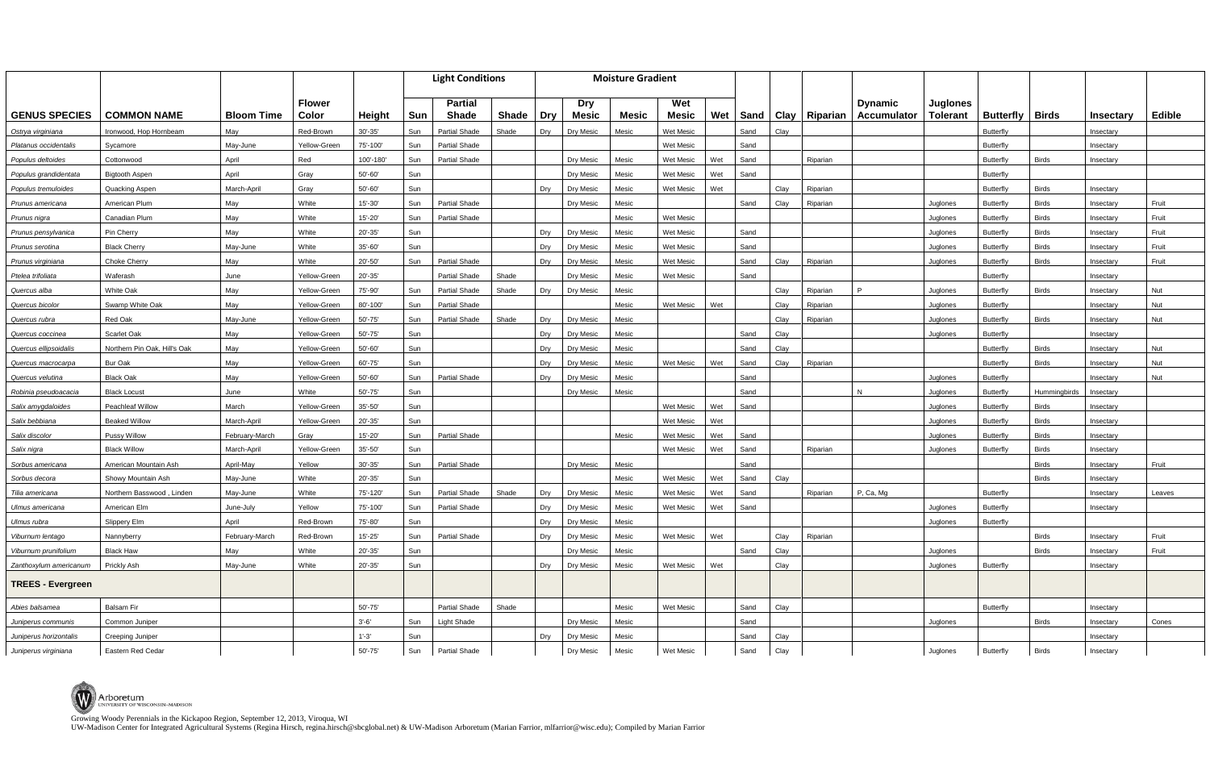UW-Madison Center for Integrated Agricultural Systems (Regina Hirsch, regina.hirsch@sbcglobal.net) & UW-Madison Arboretum (Marian Farrior, mlfarrior@wisc.edu); Compiled by Marian Farrior

|                          |                              |                   |                        |               |     | <b>Light Conditions</b> |              | <b>Moisture Gradient</b> |                            |              |                     |     |      |      |                        |                                       |                                    |                  |              |           |               |
|--------------------------|------------------------------|-------------------|------------------------|---------------|-----|-------------------------|--------------|--------------------------|----------------------------|--------------|---------------------|-----|------|------|------------------------|---------------------------------------|------------------------------------|------------------|--------------|-----------|---------------|
| <b>GENUS SPECIES</b>     | <b>COMMON NAME</b>           | <b>Bloom Time</b> | <b>Flower</b><br>Color | <b>Height</b> | Sun | <b>Partial</b><br>Shade | <b>Shade</b> | <b>Dry</b>               | <b>Dry</b><br><b>Mesic</b> | <b>Mesic</b> | Wet<br><b>Mesic</b> | Wet |      |      | Sand   Clay   Riparian | <b>D</b> vnamic<br><b>Accumulator</b> | <b>Juglones</b><br><b>Tolerant</b> | <b>Butterfly</b> | <b>Birds</b> | Insectary | <b>Edible</b> |
| Ostrya virginiana        | Ironwood, Hop Hornbeam       | May               | Red-Brown              | $30' - 35'$   | Sun | <b>Partial Shade</b>    | Shade        | Dry                      | Dry Mesic                  | Mesic        | Wet Mesic           |     | Sand | Clay |                        |                                       |                                    | <b>Butterfly</b> |              | Insectary |               |
| Platanus occidentalis    | Sycamore                     | May-June          | Yellow-Green           | 75'-100'      | Sun | <b>Partial Shade</b>    |              |                          |                            |              | <b>Wet Mesic</b>    |     | Sand |      |                        |                                       |                                    | <b>Butterfly</b> |              | Insectary |               |
| Populus deltoides        | Cottonwood                   | April             | Red                    | 100'-180'     | Sun | <b>Partial Shade</b>    |              |                          | Dry Mesic                  | Mesio        | <b>Wet Mesic</b>    | Wet | Sand |      | Riparian               |                                       |                                    | Butterfly        | <b>Birds</b> | Insectary |               |
| Populus grandidentata    | <b>Bigtooth Aspen</b>        | April             | Gray                   | 50'-60'       | Sun |                         |              |                          | <b>Dry Mesic</b>           | Mesic        | <b>Wet Mesic</b>    | Wet | Sand |      |                        |                                       |                                    | <b>Butterfly</b> |              |           |               |
| Populus tremuloides      | Quacking Aspen               | March-April       | Gray                   | 50'-60'       | Sun |                         |              | Dry                      | Dry Mesic                  | Mesic        | Wet Mesic           | Wet |      | Clay | Riparian               |                                       |                                    | Butterfly        | <b>Birds</b> | Insectary |               |
| Prunus americana         | American Plum                | May               | White                  | $15' - 30'$   | Sun | <b>Partial Shade</b>    |              |                          | Dry Mesic                  | Mesic        |                     |     | Sand | Clay | Riparian               |                                       | Juglones                           | Butterfly        | <b>Birds</b> | Insectary | Fruit         |
| Prunus nigra             | Canadian Plum                | May               | White                  | 15'-20'       | Sun | <b>Partial Shade</b>    |              |                          |                            | Mesic        | <b>Wet Mesic</b>    |     |      |      |                        |                                       | Juglones                           | Butterfly        | <b>Birds</b> | Insectary | Fruit         |
| Prunus pensylvanica      | Pin Cherry                   | May               | White                  | 20'-35'       | Sun |                         |              | Dry                      | Dry Mesic                  | Mesic        | Wet Mesic           |     | Sand |      |                        |                                       | Juglones                           | Butterfly        | <b>Birds</b> | Insectary | Fruit         |
| Prunus serotina          | <b>Black Cherry</b>          | May-June          | White                  | 35'-60'       | Sun |                         |              | Dry                      | Dry Mesic                  | Mesic        | <b>Wet Mesic</b>    |     | Sand |      |                        |                                       | Juglones                           | Butterfl         | <b>Birds</b> | Insectary | Fruit         |
| Prunus virginiana        | Choke Cherry                 | May               | White                  | 20'-50'       | Sun | <b>Partial Shade</b>    |              | Drv                      | Dry Mesic                  | Mesic        | <b>Wet Mesic</b>    |     | Sand | Clay | Riparian               |                                       | Juglones                           | Butterfly        | <b>Birds</b> | Insectary | Fruit         |
| Ptelea trifoliata        | Waferash                     | June              | Yellow-Green           | 20'-35'       |     | Partial Shade           | Shade        |                          | Dry Mesic                  | Mesic        | Wet Mesic           |     | Sand |      |                        |                                       |                                    | Butterfly        |              | Insectary |               |
| Quercus alba             | <b>White Oak</b>             | May               | Yellow-Green           | 75'-90'       | Sun | <b>Partial Shade</b>    | Shade        | Dry                      | <b>Dry Mesic</b>           | Mesic        |                     |     |      | Clay | Riparian               | $\mathsf{P}$                          | Juglones                           | <b>Butterfly</b> | <b>Birds</b> | Insectary | Nut           |
| Quercus bicolor          | Swamp White Oak              | May               | Yellow-Green           | 80'-100'      | Sun | <b>Partial Shade</b>    |              |                          |                            | Mesic        | Wet Mesic           | Wet |      | Clay | Riparian               |                                       | Juglones                           | <b>Butterfly</b> |              | Insectary | Nut           |
| Quercus rubra            | <b>Red Oak</b>               | May-June          | Yellow-Green           | 50'-75'       | Sun | <b>Partial Shade</b>    | Shade        | Dry                      | <b>Drv Mesic</b>           | Mesic        |                     |     |      | Clay | Riparian               |                                       | Juglones                           | Butterfly        | <b>Birds</b> | Insectary | Nut           |
| Quercus coccinea         | Scarlet Oak                  | May               | Yellow-Green           | 50'-75'       | Sun |                         |              | Dry                      | Dry Mesic                  | Mesic        |                     |     | Sand | Clay |                        |                                       | Juglones                           | <b>Butterfly</b> |              | Insectary |               |
| Quercus ellipsoidalis    | Northern Pin Oak. Hill's Oak | May               | Yellow-Green           | 50'-60'       | Sun |                         |              | Dry                      | Dry Mesic                  | Mesic        |                     |     | Sand | Clay |                        |                                       |                                    | <b>Butterfly</b> | <b>Birds</b> | Insectary | Nut           |
| Quercus macrocarpa       | <b>Bur Oak</b>               | May               | Yellow-Green           | 60'-75'       | Sun |                         |              | Dry                      | Dry Mesic                  | Mesic        | Wet Mesic           | Wet | Sand | Clay | Riparian               |                                       |                                    | <b>Butterfly</b> | <b>Birds</b> | Insectary | Nut           |
| Quercus velutina         | <b>Black Oak</b>             | May               | Yellow-Green           | 50'-60'       | Sun | <b>Partial Shade</b>    |              | Dry                      | Dry Mesic                  | Mesic        |                     |     | Sand |      |                        |                                       | Juglones                           | Butterfly        |              | Insectary | Nut           |
| Robinia pseudoacacia     | <b>Black Locust</b>          | June              | White                  | 50'-75'       | Sun |                         |              |                          | Dry Mesic                  | Mesic        |                     |     | Sand |      |                        | N                                     | Juglones                           | <b>Butterfly</b> | Hummingbirds | Insectary |               |
| Salix amygdaloides       | <b>Peachleaf Willow</b>      | March             | Yellow-Green           | 35'-50'       | Sun |                         |              |                          |                            |              | <b>Wet Mesic</b>    | Wet | Sand |      |                        |                                       | Juglones                           | Butterfly        | <b>Birds</b> | Insectary |               |
| Salix bebbiana           | <b>Beaked Willow</b>         | March-April       | Yellow-Green           | 20'-35'       | Sun |                         |              |                          |                            |              | Wet Mesic           | Wet |      |      |                        |                                       | Juglones                           | Butterfly        | <b>Birds</b> | Insectary |               |
| Salix discolor           | Pussy Willow                 | February-March    | Gray                   | $15' - 20'$   | Sun | <b>Partial Shade</b>    |              |                          |                            | Mesic        | <b>Wet Mesic</b>    | Wet | Sand |      |                        |                                       | Juglones                           | Butterfly        | <b>Birds</b> | Insectary |               |
| Salix nigra              | <b>Black Willow</b>          | March-April       | Yellow-Green           | $35 - 50$     | Sun |                         |              |                          |                            |              | Wet Mesic           | Wet | Sand |      | Riparian               |                                       | Juglones                           | Butterfly        | <b>Birds</b> | Insectary |               |
| Sorbus americana         | American Mountain Ash        | April-May         | Yellow                 | $30' - 35'$   | Sun | Partial Shade           |              |                          | Dry Mesic                  | Mesic        |                     |     | Sand |      |                        |                                       |                                    |                  | <b>Birds</b> | Insectary | Fruit         |
| Sorbus decora            | Showy Mountain Ash           | May-June          | White                  | 20'-35'       | Sun |                         |              |                          |                            | Mesic        | Wet Mesic           | Wet | Sand | Clay |                        |                                       |                                    |                  | <b>Birds</b> | Insectary |               |
| Tilia americana          | Northern Basswood, Linden    | May-June          | White                  | 75'-120'      | Sun | <b>Partial Shade</b>    | Shade        | Dry                      | Dry Mesic                  | Mesic        | Wet Mesic           | Wet | Sand |      | Riparian               | P, Ca, Mg                             |                                    | <b>Butterfly</b> |              | Insectary | Leaves        |
| Ulmus americana          | American Elm                 | June-July         | Yellow                 | 75'-100'      | Sun | <b>Partial Shade</b>    |              | Dry                      | <b>Dry Mesic</b>           | Mesic        | <b>Wet Mesic</b>    | Wet | Sand |      |                        |                                       | Juglones                           | <b>Butterfly</b> |              | Insectary |               |
| Ulmus rubra              | Slippery Elm                 | April             | Red-Brown              | 75'-80'       | Sun |                         |              | Dry                      | Dry Mesic                  | Mesic        |                     |     |      |      |                        |                                       | Juglones                           | <b>Butterfly</b> |              |           |               |
| Viburnum lentago         | Nannyberry                   | February-March    | Red-Brown              | $15' - 25'$   | Sun | Partial Shade           |              | Dry                      | Dry Mesic                  | Mesic        | Wet Mesic           | Wet |      | Clay | Riparian               |                                       |                                    |                  | <b>Birds</b> | Insectary | Fruit         |
| Viburnum prunifolium     | <b>Black Haw</b>             | May               | White                  | $20' - 35'$   | Sun |                         |              |                          | Dry Mesic                  | Mesic        |                     |     | Sand | Clay |                        |                                       | Juglones                           |                  | <b>Birds</b> | Insectary | Fruit         |
| Zanthoxylum americanum   | Prickly Ash                  | May-June          | White                  | $20' - 35'$   | Sun |                         |              | Dry                      | Dry Mesic                  | Mesic        | Wet Mesic   Wet     |     |      | Clay |                        |                                       | Juglones                           | Butterfly        |              | Insectary |               |
| <b>TREES - Evergreen</b> |                              |                   |                        |               |     |                         |              |                          |                            |              |                     |     |      |      |                        |                                       |                                    |                  |              |           |               |
| Abies balsamea           | Balsam Fir                   |                   |                        | $50' - 75'$   |     | Partial Shade           | Shade        |                          |                            | Mesic        | Wet Mesic           |     | Sand | Clay |                        |                                       |                                    | Butterfly        |              | Insectary |               |
| Juniperus communis       | Common Juniper               |                   |                        | $3' - 6'$     | Sun | <b>Light Shade</b>      |              |                          | Dry Mesic                  | Mesic        |                     |     | Sand |      |                        |                                       | Juglones                           |                  | <b>Birds</b> | Insectary | Cones         |
| Juniperus horizontalis   | Creeping Juniper             |                   |                        | $1' - 3'$     | Sun |                         |              | Dry                      | Dry Mesic                  | Mesic        |                     |     | Sand | Clay |                        |                                       |                                    |                  |              | Insectary |               |
| Juniperus virginiana     | Eastern Red Cedar            |                   |                        | 50'-75'       | Sun | Partial Shade           |              |                          | Dry Mesic                  | Mesic        | Wet Mesic           |     | Sand | Clay |                        |                                       | Juglones                           | Butterfly        | <b>Birds</b> | Insectary |               |

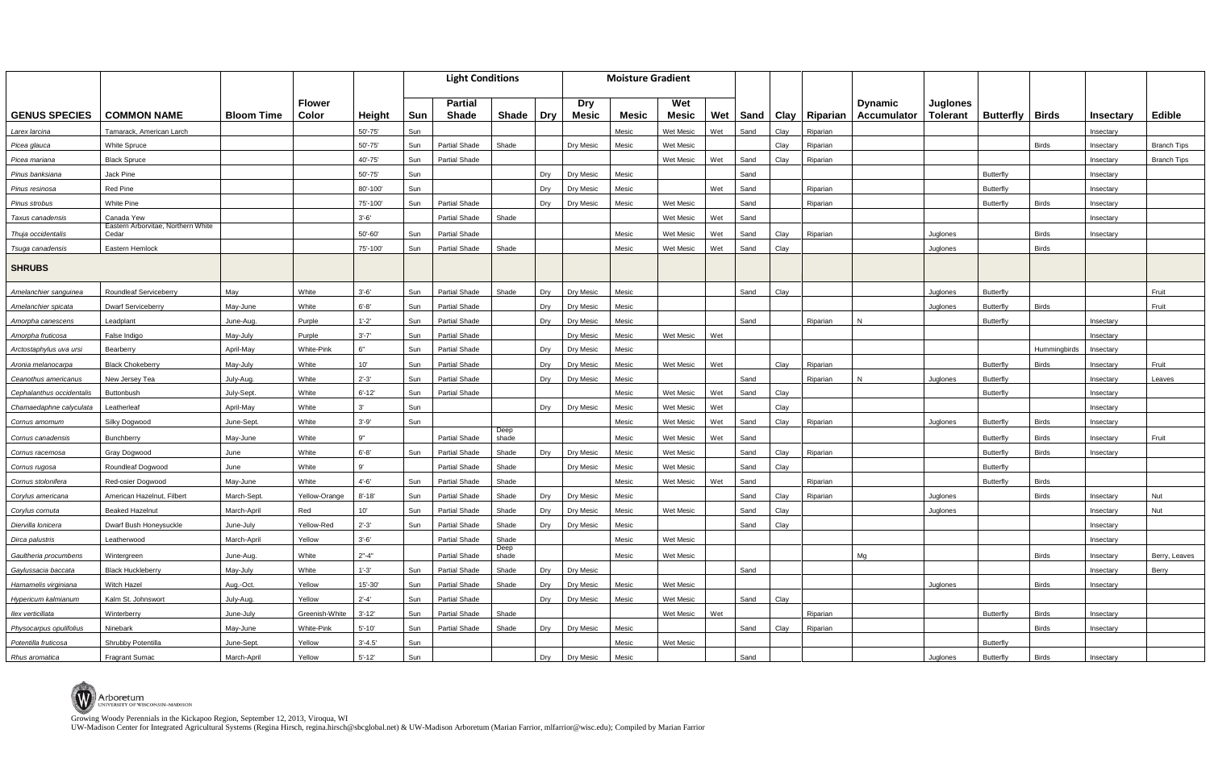UW-Madison Center for Integrated Agricultural Systems (Regina Hirsch, regina.hirsch@sbcglobal.net) & UW-Madison Arboretum (Marian Farrior, mlfarrior@wisc.edu); Compiled by Marian Farrior

|                           |                                             |                   |                   |             | <b>Light Conditions</b> |                      |               |            |            | <b>Moisture Gradient</b> |                  |     |      |      |                        |                    |                 |                  |              |                  |                    |
|---------------------------|---------------------------------------------|-------------------|-------------------|-------------|-------------------------|----------------------|---------------|------------|------------|--------------------------|------------------|-----|------|------|------------------------|--------------------|-----------------|------------------|--------------|------------------|--------------------|
|                           |                                             |                   | <b>Flower</b>     |             |                         | <b>Partial</b>       |               |            | <b>Dry</b> |                          | Wet              |     |      |      |                        | <b>Dynamic</b>     | <b>Juglones</b> |                  |              |                  |                    |
| <b>GENUS SPECIES</b>      | <b>COMMON NAME</b>                          | <b>Bloom Time</b> | Color             | Height      | Sun                     | <b>Shade</b>         | <b>Shade</b>  | <b>Dry</b> | Mesic      | <b>Mesic</b>             | <b>Mesic</b>     | Wet |      |      | Sand   Clay   Riparian | <b>Accumulator</b> | <b>Tolerant</b> | <b>Butterfly</b> | <b>Birds</b> | <b>Insectary</b> | <b>Edible</b>      |
| Larex Iarcina             | Tamarack, American Larch                    |                   |                   | 50'-75'     | Sun                     |                      |               |            |            | Mesic                    | Wet Mesic        | Wet | Sand | Clay | Riparian               |                    |                 |                  |              | Insectary        |                    |
| Picea glauca              | <b>White Spruce</b>                         |                   |                   | 50'-75'     | Sun                     | <b>Partial Shade</b> | Shade         |            | Dry Mesic  | Mesic                    | <b>Wet Mesic</b> |     |      | Clay | Riparian               |                    |                 |                  | <b>Birds</b> | Insectary        | <b>Branch Tips</b> |
| Picea mariana             | <b>Black Spruce</b>                         |                   |                   | 40'-75'     | Sun                     | <b>Partial Shade</b> |               |            |            |                          | <b>Wet Mesic</b> | Wet | Sand | Clay | Riparian               |                    |                 |                  |              | Insectary        | <b>Branch Tips</b> |
| Pinus banksiana           | Jack Pine                                   |                   |                   | 50'-75'     | Sun                     |                      |               | Dry        | Dry Mesic  | Mesic                    |                  |     | Sand |      |                        |                    |                 | Butterfly        |              | Insectary        |                    |
| Pinus resinosa            | <b>Red Pine</b>                             |                   |                   | 80'-100'    | Sun                     |                      |               | Dry        | Dry Mesic  | Mesic                    |                  | Wet | Sand |      | Riparian               |                    |                 | <b>Butterfly</b> |              | Insectary        |                    |
| Pinus strobus             | <b>White Pine</b>                           |                   |                   | 75'-100'    | Sun                     | <b>Partial Shade</b> |               | Drv        | Dry Mesic  | Mesic                    | <b>Wet Mesic</b> |     | Sand |      | Riparian               |                    |                 | Butterfly        | <b>Birds</b> | Insectary        |                    |
| Taxus canadensis          | Canada Yew                                  |                   |                   | $3' - 6'$   |                         | Partial Shade        | Shade         |            |            |                          | <b>Wet Mesic</b> | Wet | Sand |      |                        |                    |                 |                  |              | Insectary        |                    |
| Thuja occidentalis        | Eastern Arborvitae, Northern White<br>Cedar |                   |                   | 50'-60'     | Sun                     | <b>Partial Shade</b> |               |            |            | Mesic                    | <b>Wet Mesic</b> | Wet | Sand | Clay | Riparian               |                    | Juglones        |                  | <b>Birds</b> | Insectary        |                    |
| Tsuga canadensis          | Eastern Hemlock                             |                   |                   | 75'-100'    | Sun                     | <b>Partial Shade</b> | Shade         |            |            | Mesic                    | <b>Wet Mesic</b> | Wet | Sand | Clay |                        |                    | Juglones        |                  | <b>Birds</b> |                  |                    |
| <b>SHRUBS</b>             |                                             |                   |                   |             |                         |                      |               |            |            |                          |                  |     |      |      |                        |                    |                 |                  |              |                  |                    |
| Amelanchier sanguinea     | Roundleaf Serviceberry                      | May               | White             | $3' - 6'$   | Sun                     | <b>Partial Shade</b> | Shade         | Dry        | Dry Mesic  | Mesic                    |                  |     | Sand | Clay |                        |                    | Juglones        | Butterfly        |              |                  | Fruit              |
| Amelanchier spicata       | <b>Dwarf Serviceberry</b>                   | May-June          | White             | $6' - 8'$   | Sun                     | <b>Partial Shade</b> |               | Dry        | Dry Mesic  | Mesic                    |                  |     |      |      |                        |                    | Juglones        | Butterfl         | <b>Birds</b> |                  | Fruit              |
| Amorpha canescens         | Leadplant                                   | June-Aug.         | Purple            | $1' - 2'$   | Sun                     | <b>Partial Shade</b> |               | Dry        | Dry Mesic  | Mesic                    |                  |     | Sand |      | Riparian               | N                  |                 | <b>Butterfly</b> |              | Insectary        |                    |
| Amorpha fruticosa         | False Indigo                                | May-July          | Purple            | $3' - 7'$   | Sun                     | <b>Partial Shade</b> |               |            | Dry Mesic  | Mesic                    | Wet Mesic        | Wet |      |      |                        |                    |                 |                  |              | Insectary        |                    |
| Arctostaphylus uva ursi   | Bearberry                                   | April-May         | <b>White-Pink</b> | 6"          | Sun                     | <b>Partial Shade</b> |               | Dry        | Dry Mesic  | Mesic                    |                  |     |      |      |                        |                    |                 |                  | Hummingbirds | Insectary        |                    |
| Aronia melanocarpa        | Black Chokeberry                            | May-July          | White             | 10'         | Sun                     | <b>Partial Shade</b> |               | Dry        | Dry Mesic  | Mesic                    | Wet Mesic        | Wet |      | Clay | Riparian               |                    |                 | <b>Butterfly</b> | <b>Birds</b> | Insectary        | Fruit              |
| Ceanothus americanus      | New Jersey Tea                              | July-Aug.         | White             | $2' - 3'$   | Sun                     | <b>Partial Shade</b> |               | Drv        | Dry Mesic  | Mesic                    |                  |     | Sand |      | Riparian               | N                  | Juglones        | <b>Butterfly</b> |              | Insectary        | Leaves             |
| Cephalanthus occidentalis | Buttonbush                                  | July-Sept.        | White             | $6' - 12'$  | Sun                     | <b>Partial Shade</b> |               |            |            | Mesic                    | Wet Mesic        | Wet | Sand | Clay |                        |                    |                 | Butterfly        |              | Insectary        |                    |
| Chamaedaphne calyculata   | Leatherleaf                                 | April-May         | White             | 3'          | Sun                     |                      |               | Dry        | Dry Mesic  | Mesic                    | Wet Mesic        | Wet |      | Clay |                        |                    |                 |                  |              | Insectary        |                    |
| Cornus amomum             | Silky Dogwood                               | June-Sept.        | White             | $3' - 9'$   | Sun                     |                      |               |            |            | Mesic                    | Wet Mesic        | Wet | Sand | Clay | Riparian               |                    | Juglones        | <b>Butterfly</b> | <b>Birds</b> | Insectary        |                    |
| Cornus canadensis         | Bunchberry                                  | May-June          | White             | 9"          |                         | <b>Partial Shade</b> | Deep<br>shade |            |            | Mesic                    | <b>Wet Mesic</b> | Wet | Sand |      |                        |                    |                 | <b>Butterfly</b> | <b>Birds</b> | Insectary        | Fruit              |
| Cornus racemosa           | Gray Dogwood                                | June              | White             | $6 - 8'$    | Sun                     | <b>Partial Shade</b> | Shade         | Dry        | Dry Mesic  | Mesic                    | <b>Wet Mesic</b> |     | Sand | Clay | Riparian               |                    |                 | Butterfly        | <b>Birds</b> | Insectary        |                    |
| Cornus rugosa             | Roundleaf Dogwood                           | June              | White             | 9'          |                         | <b>Partial Shade</b> | Shade         |            | Dry Mesic  | Mesic                    | Wet Mesic        |     | Sand | Clay |                        |                    |                 | Butterfly        |              |                  |                    |
| Cornus stolonifera        | Red-osier Dogwood                           | May-June          | White             | $4' - 6'$   | Sun                     | <b>Partial Shade</b> | Shade         |            |            | Mesic                    | Wet Mesic        | Wet | Sand |      | Riparian               |                    |                 | Butterfly        | <b>Birds</b> |                  |                    |
| Corylus americana         | American Hazelnut, Filbert                  | March-Sept        | Yellow-Orange     | $8' - 18'$  | Sun                     | <b>Partial Shade</b> | Shade         | Dry        | Dry Mesic  | Mesic                    |                  |     | Sand | Clay | Riparian               |                    | Juglones        |                  | <b>Birds</b> | Insectary        | Nut                |
| Corylus cornuta           | Beaked Hazelnut                             | March-April       | Red               | 10'         | Sun                     | Partial Shade        | Shade         | Drv        | Drv Mesic  | Mesic                    | <b>Wet Mesic</b> |     | Sand | Clay |                        |                    | Juglones        |                  |              | Insectary        | Nut                |
| Diervilla lonicera        | Dwarf Bush Honeysuckle                      | June-July         | Yellow-Red        | $2' - 3'$   | Sun                     | <b>Partial Shade</b> | Shade         | Dry        | Dry Mesic  | Mesic                    |                  |     | Sand | Clay |                        |                    |                 |                  |              | Insectary        |                    |
| Dirca palustris           | Leatherwood                                 | March-April       | Yellow            | $3' - 6'$   |                         | Partial Shade        | Shade<br>Deep |            |            | Mesic                    | Wet Mesic        |     |      |      |                        |                    |                 |                  |              | Insectary        |                    |
| Gaultheria procumbens     | Wintergreen                                 | June-Aug.         | White             | $2" - 4"$   |                         | Partial Shade        | shade         |            |            | Mesic                    | Wet Mesic        |     |      |      |                        | Mg                 |                 |                  | <b>Birds</b> | Insectary        | Berry, Leaves      |
| Gaylussacia baccata       | <b>Black Huckleberry</b>                    | May-July          | White             | $1' - 3'$   | Sun                     | <b>Partial Shade</b> | Shade         | Dry        | Dry Mesic  |                          |                  |     | Sand |      |                        |                    |                 |                  |              | Insectary        | Berry              |
| Hamamelis virginiana      | Witch Hazel                                 | Aug.-Oct.         | Yellow            | $15' - 30'$ | Sun                     | Partial Shade        | Shade         | Dry        | Dry Mesic  | Mesic                    | Wet Mesic        |     |      |      |                        |                    | Juglones        |                  | <b>Birds</b> | Insectary        |                    |
| Hypericum kalmianum       | Kalm St. Johnswort                          | July-Aug.         | Yellow            | $2' - 4'$   | Sun                     | Partial Shade        |               | Dry        | Dry Mesic  | Mesic                    | Wet Mesic        |     | Sand | Clay |                        |                    |                 |                  |              |                  |                    |
| llex verticillata         | Winterberry                                 | June-July         | Greenish-White    | $3' - 12'$  | Sun                     | Partial Shade        | Shade         |            |            |                          | Wet Mesic        | Wet |      |      | Riparian               |                    |                 | Butterfly        | <b>Birds</b> | Insectary        |                    |
| Physocarpus opulifolius   | Ninebark                                    | May-June          | White-Pink        | $5' - 10'$  | Sun                     | Partial Shade        | Shade         | Dry        | Dry Mesic  | Mesic                    |                  |     | Sand | Clay | Riparian               |                    |                 |                  | <b>Birds</b> | Insectary        |                    |
| Potentilla fruticosa      | Shrubby Potentilla                          | June-Sept.        | Yellow            | $3' - 4.5'$ | Sun                     |                      |               |            |            | Mesic                    | Wet Mesic        |     |      |      |                        |                    |                 | Butterfly        |              |                  |                    |
| Rhus aromatica            | <b>Fragrant Sumac</b>                       | March-April       | Yellow            | $5' - 12'$  | Sun                     |                      |               | Dry        | Dry Mesic  | Mesic                    |                  |     | Sand |      |                        |                    | Juglones        | Butterfly        | <b>Birds</b> | Insectary        |                    |

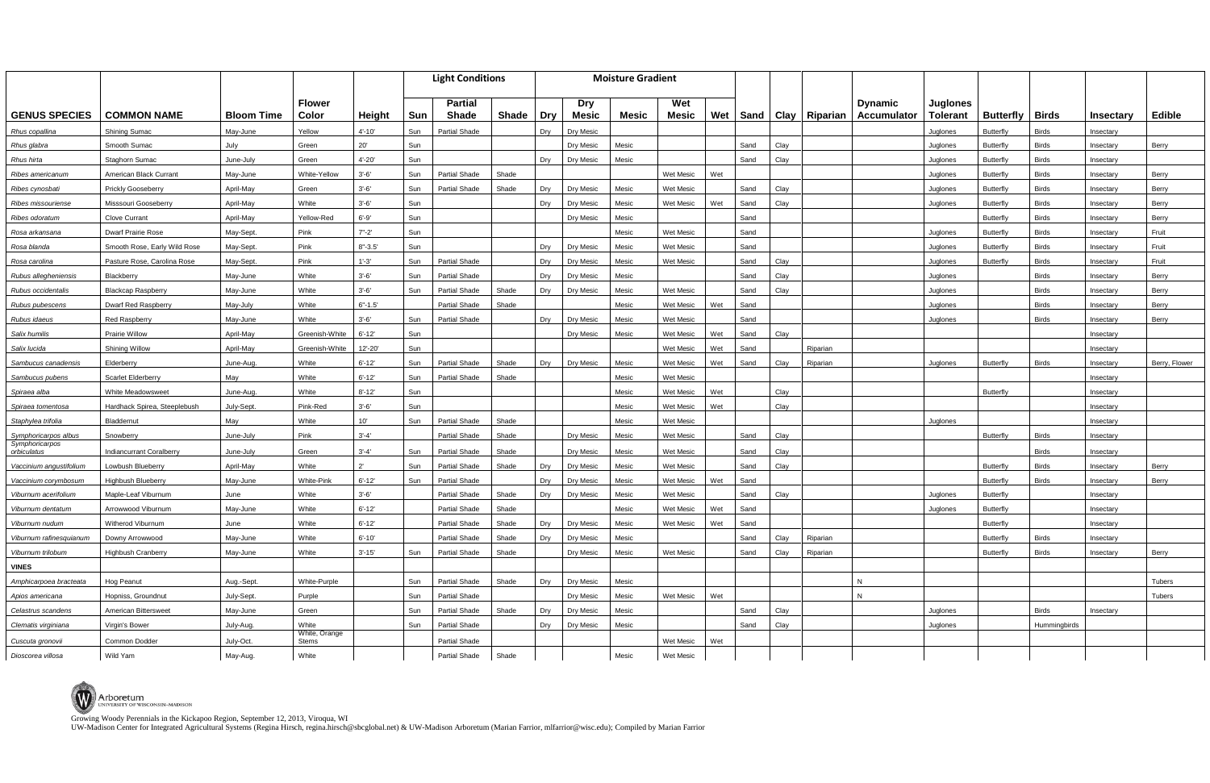UW-Madison Center for Integrated Agricultural Systems (Regina Hirsch, regina.hirsch@sbcglobal.net) & UW-Madison Arboretum (Marian Farrior, mlfarrior@wisc.edu); Compiled by Marian Farrior

|                                        |                              |                   |                        | <b>Light Conditions</b> |     |                      | <b>Moisture Gradient</b> |     |              |       |                  |            |      |                        |                |                 |                  |              |                  |               |
|----------------------------------------|------------------------------|-------------------|------------------------|-------------------------|-----|----------------------|--------------------------|-----|--------------|-------|------------------|------------|------|------------------------|----------------|-----------------|------------------|--------------|------------------|---------------|
|                                        |                              |                   | <b>Flower</b>          |                         |     | <b>Partial</b>       |                          |     | <b>Dry</b>   |       | Wet              |            |      |                        | <b>Dynamic</b> | <b>Juglones</b> |                  |              |                  |               |
| <b>GENUS SPECIES</b>                   | <b>COMMON NAME</b>           | <b>Bloom Time</b> | Color                  | Height                  | Sun | Shade                | <b>Shade</b>             | Dry | <b>Mesic</b> | Mesic | <b>Mesic</b>     | <b>Wet</b> |      | Sand   Clay   Riparian | Accumulator    | <b>Tolerant</b> | <b>Butterfly</b> | <b>Birds</b> | <b>Insectary</b> | <b>Edible</b> |
| Rhus copallina                         | Shining Sumac                | May-June          | Yellow                 | $4' - 10'$              | Sun | <b>Partial Shade</b> |                          | Dry | Dry Mesic    |       |                  |            |      |                        |                | Juglones        | <b>Butterfly</b> | <b>Birds</b> | Insectary        |               |
| Rhus glabra                            | Smooth Sumac                 | July              | Green                  | 20'                     | Sun |                      |                          |     | Dry Mesic    | Mesic |                  |            | Sand | Clay                   |                | Juglones        | <b>Butterfly</b> | <b>Birds</b> | Insectary        | Berry         |
| Rhus hirta                             | Staghorn Sumac               | June-July         | Green                  | $4' - 20'$              | Sun |                      |                          | Dry | Dry Mesic    | Mesic |                  |            | Sand | Clay                   |                | Juglones        | <b>Butterfly</b> | <b>Birds</b> | Insectary        |               |
| Ribes americanum                       | American Black Currant       | May-June          | White-Yellow           | $3'-6'$                 | Sun | <b>Partial Shade</b> | Shade                    |     |              |       | Wet Mesic        | Wet        |      |                        |                | Juglones        | Butterfly        | <b>Birds</b> | Insectary        | Berry         |
| Ribes cynosbati                        | <b>Prickly Gooseberry</b>    | April-May         | Green                  | $3'-6'$                 | Sun | <b>Partial Shade</b> | Shade                    | Dry | Drv Mesic    | Mesic | Wet Mesic        |            | Sand | Clay                   |                | Juglones        | Butterfly        | <b>Birds</b> | Insectary        | Berry         |
| Ribes missouriense                     | Misssouri Gooseberry         | April-May         | White                  | $3'-6'$                 | Sun |                      |                          | Dry | Dry Mesic    | Mesic | Wet Mesic        | Wet        | Sand | Clay                   |                | Juglones        | Butterfly        | <b>Birds</b> | Insectary        | Berry         |
| Ribes odoratum                         | <b>Clove Currant</b>         | April-May         | Yellow-Red             | $6' - 9'$               | Sun |                      |                          |     | Dry Mesic    | Mesic |                  |            | Sand |                        |                |                 | <b>Butterfly</b> | <b>Birds</b> | Insectary        | Berry         |
| Rosa arkansana                         | Dwarf Prairie Rose           | May-Sept.         | Pink                   | $7 - 2'$                | Sun |                      |                          |     |              | Mesic | Wet Mesic        |            | Sand |                        |                | Juglones        | Butterfly        | <b>Birds</b> | Insectary        | Fruit         |
| Rosa blanda                            | Smooth Rose, Early Wild Rose | May-Sept          | Pink                   | $8" - 3.5"$             | Sun |                      |                          | Dry | Drv Mesic    | Mesic | <b>Wet Mesic</b> |            | Sand |                        |                | Juglones        | <b>Butterfly</b> | <b>Birds</b> | Insectary        | Fruit         |
| Rosa carolina                          | Pasture Rose, Carolina Rose  | May-Sept.         | Pink                   | $1' - 3'$               | Sun | <b>Partial Shade</b> |                          | Dry | Dry Mesic    | Mesic | Wet Mesic        |            | Sand | Clay                   |                | Juglones        | <b>Butterfly</b> | <b>Birds</b> | Insectary        | Fruit         |
| Rubus allegheniensis                   | Blackberry                   | May-June          | White                  | $3'-6'$                 | Sun | <b>Partial Shade</b> |                          | Dry | Dry Mesic    | Mesic |                  |            | Sand | Clay                   |                | Juglones        |                  | <b>Birds</b> | Insectary        | Berry         |
| Rubus occidentalis                     | <b>Blackcap Raspberry</b>    | May-June          | White                  | $3' - 6'$               | Sun | <b>Partial Shade</b> | Shade                    | Dry | Dry Mesic    | Mesic | Wet Mesic        |            | Sand | Clay                   |                | Juglones        |                  | <b>Birds</b> | Insectary        | Berry         |
| Rubus pubescens                        | Dwarf Red Raspberry          | May-July          | White                  | $6" - 1.5'$             |     | <b>Partial Shade</b> | Shade                    |     |              | Mesic | Wet Mesic        | Wet        | Sand |                        |                | Juglones        |                  | <b>Birds</b> | Insectary        | Berry         |
| Rubus idaeus                           | Red Raspberry                | May-June          | White                  | $3'-6'$                 | Sun | <b>Partial Shade</b> |                          | Dry | Drv Mesic    | Mesic | Wet Mesic        |            | Sand |                        |                | Juglones        |                  | <b>Birds</b> | Insectary        | Berry         |
| Salix humilis                          | Prairie Willow               | April-May         | Greenish-White         | $6' - 12'$              | Sun |                      |                          |     | Dry Mesic    | Mesic | Wet Mesic        | Wet        | Sand | Clay                   |                |                 |                  |              | Insectary        |               |
| Salix lucida                           | <b>Shining Willow</b>        | April-May         | Greenish-White         | $12' - 20'$             | Sun |                      |                          |     |              |       | Wet Mesic        | Wet        | Sand | Riparian               |                |                 |                  |              | Insectary        |               |
| Sambucus canadensis                    | Elderberry                   | June-Aug.         | White                  | $6' - 12'$              | Sun | <b>Partial Shade</b> | Shade                    | Dry | Dry Mesic    | Mesic | Wet Mesic        | Wet        | Sand | Clay<br>Riparian       |                | Juglones        | <b>Butterfly</b> | <b>Birds</b> | Insectary        | Berry, Flower |
| Sambucus pubens                        | Scarlet Elderberry           | May               | White                  | $6' - 12'$              | Sun | <b>Partial Shade</b> | Shade                    |     |              | Mesic | Wet Mesic        |            |      |                        |                |                 |                  |              | Insectary        |               |
| Spiraea alba                           | White Meadowsweet            | June-Aug.         | White                  | $8' - 12'$              | Sun |                      |                          |     |              | Mesic | Wet Mesic        | Wet        |      | Clay                   |                |                 | <b>Butterfly</b> |              | Insectary        |               |
| Spiraea tomentosa                      | Hardhack Spirea, Steeplebush | July-Sept.        | Pink-Red               | $3'-6'$                 | Sun |                      |                          |     |              | Mesic | Wet Mesic        | Wet        |      | Clay                   |                |                 |                  |              | Insectary        |               |
| Staphylea trifolia                     | Bladdernut                   | May               | White                  | 10'                     | Sun | <b>Partial Shade</b> | Shade                    |     |              | Mesic | Wet Mesic        |            |      |                        |                | Juglones        |                  |              | Insectary        |               |
| Symphoricarpos albus<br>Symphoricarpos | Snowberry                    | June-July         | Pink                   | $3' - 4'$               |     | <b>Partial Shade</b> | Shade                    |     | Drv Mesic    | Mesic | Wet Mesic        |            | Sand | Clay                   |                |                 | <b>Butterfly</b> | <b>Birds</b> | Insectary        |               |
| orbiculatus                            | Indiancurrant Coralberry     | June-July         | Green                  | $3' - 4'$               | Sun | <b>Partial Shade</b> | Shade                    |     | Dry Mesic    | Mesic | Wet Mesic        |            | Sand | Clay                   |                |                 |                  | <b>Birds</b> | Insectary        |               |
| Vaccinium angustifolium                | Lowbush Blueberry            | April-May         | White                  | $2^{\prime}$            | Sun | <b>Partial Shade</b> | Shade                    | Dry | Dry Mesic    | Mesic | Wet Mesic        |            | Sand | Clay                   |                |                 | Butterfly        | <b>Birds</b> | Insectary        | Berry         |
| Vaccinium corymbosum                   | <b>Highbush Blueberry</b>    | May-June          | <b>White-Pink</b>      | $6' - 12'$              | Sun | <b>Partial Shade</b> |                          | Dry | Dry Mesic    | Mesic | Wet Mesic        | Wet        | Sand |                        |                |                 | <b>Butterfly</b> | <b>Birds</b> | Insectary        | Berry         |
| Viburnum acerifolium                   | Maple-Leaf Viburnum          | June              | White                  | $3'-6'$                 |     | <b>Partial Shade</b> | Shade                    | Dry | Dry Mesic    | Mesic | Wet Mesic        |            | Sand | Clay                   |                | Juglones        | Butterfly        |              | Insectary        |               |
| Viburnum dentatum                      | Arrowwood Viburnum           | May-June          | White                  | $6' - 12'$              |     | <b>Partial Shade</b> | Shade                    |     |              | Mesic | Wet Mesic        | Wet        | Sand |                        |                | <b>Jualones</b> | <b>Butterfly</b> |              | Insectary        |               |
| Viburnum nudum                         | Witherod Viburnum            | June              | White                  | $6' - 12'$              |     | Partial Shade        | Shade                    | Dry | Dry Mesic    | Mesic | Wet Mesic        | Wet        | Sand |                        |                |                 | Butterfly        |              | Insectary        |               |
| Viburnum rafinesquianum                | Downy Arrowwood              | May-June          | White                  | $6' - 10'$              |     | Partial Shade        | Shade                    | Dry | Dry Mesic    | Mesic |                  |            | Sand | Clay<br>Riparian       |                |                 | <b>Butterfly</b> | <b>Birds</b> | Insectary        |               |
| Viburnum trilobum                      | Highbush Cranberry           | May-June          | White                  | $3' - 15'$              | Sun | <b>Partial Shade</b> | Shade                    |     | Dry Mesic    | Mesic | Wet Mesic        |            | Sand | Clay<br>Riparian       |                |                 | <b>Butterfly</b> | <b>Birds</b> | Insectary        | Berry         |
| <b>VINES</b>                           |                              |                   |                        |                         |     |                      |                          |     |              |       |                  |            |      |                        |                |                 |                  |              |                  |               |
| Amphicarpoea bracteata                 | Hog Peanut                   | Aug.-Sept.        | White-Purple           |                         | Sun | Partial Shade        | Shade                    | Dry | Dry Mesic    | Mesic |                  |            |      |                        | N              |                 |                  |              |                  | Tubers        |
| Apios americana                        | Hopniss, Groundnut           | July-Sept.        | Purple                 |                         | Sun | Partial Shade        |                          |     | Dry Mesic    | Mesic | Wet Mesic        | Wet        |      |                        | N              |                 |                  |              |                  | Tubers        |
| Celastrus scandens                     | American Bittersweet         | May-June          | Green                  |                         | Sun | Partial Shade        | Shade                    | Dry | Dry Mesic    | Mesic |                  |            | Sand | Clay                   |                | Juglones        |                  | <b>Birds</b> | Insectary        |               |
| Clematis virginiana                    | Virgin's Bower               | July-Aug.         | White<br>White, Orange |                         | Sun | Partial Shade        |                          | Dry | Dry Mesic    | Mesic |                  |            | Sand | Clay                   |                | Juglones        |                  | Hummingbirds |                  |               |
| Cuscuta gronovii                       | Common Dodder                | July-Oct.         | <b>Stems</b>           |                         |     | Partial Shade        |                          |     |              |       | Wet Mesic        | Wet        |      |                        |                |                 |                  |              |                  |               |
| Dioscorea villosa                      | Wild Yam                     | May-Aug.          | White                  |                         |     | <b>Partial Shade</b> | Shade                    |     |              | Mesic | Wet Mesic        |            |      |                        |                |                 |                  |              |                  |               |